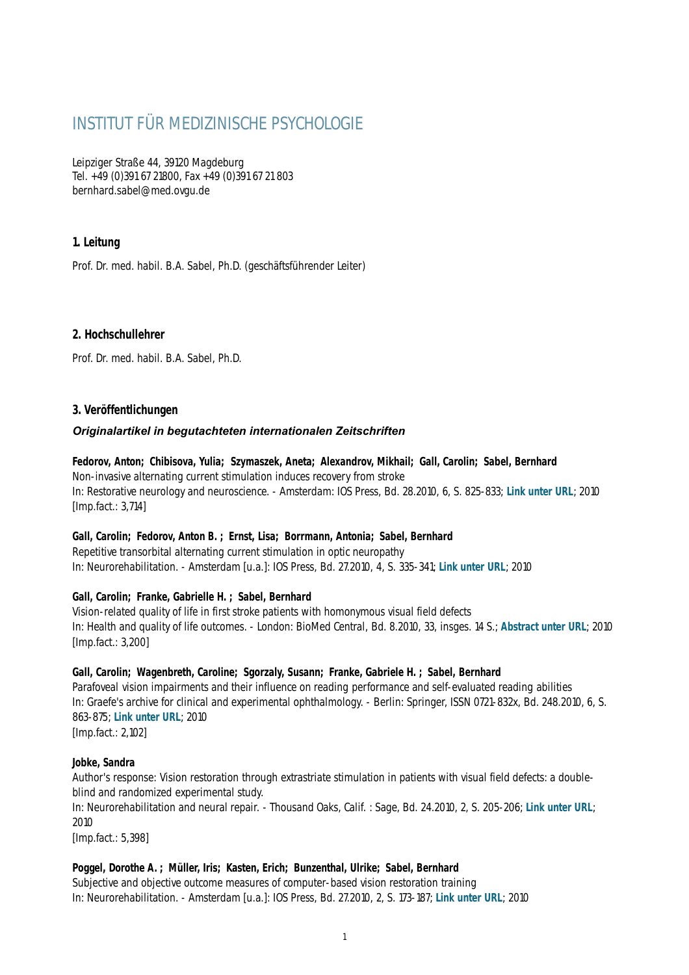# INSTITUT FÜR MEDIZINISCHE PSYCHOLOGIE

Leipziger Straße 44, 39120 Magdeburg Tel. +49 (0)391 67 21800, Fax +49 (0)391 67 21 803 bernhard.sabel@med.ovgu.de

# **1. Leitung**

Prof. Dr. med. habil. B.A. Sabel, Ph.D. (geschäftsführender Leiter)

# **2. Hochschullehrer**

Prof. Dr. med. habil. B.A. Sabel, Ph.D.

# **3. Veröffentlichungen**

### *Originalartikel in begutachteten internationalen Zeitschriften*

**Fedorov, Anton; Chibisova, Yulia; Szymaszek, Aneta; Alexandrov, Mikhail; Gall, Carolin; Sabel, Bernhard** Non-invasive alternating current stimulation induces recovery from stroke In: Restorative neurology and neuroscience. - Amsterdam: IOS Press, Bd. 28.2010, 6, S. 825-833; **[Link unter URL](http://iospress.metapress.com/content/g07706u23p311266/?p=d39a954fdcf24b86b578c4cf10850274&pi=10)**; 2010 [Imp.fact.: 3,714]

# **Gall, Carolin; Fedorov, Anton B. ; Ernst, Lisa; Borrmann, Antonia; Sabel, Bernhard**

Repetitive transorbital alternating current stimulation in optic neuropathy In: Neurorehabilitation. - Amsterdam [u.a.]: IOS Press, Bd. 27.2010, 4, S. 335-341; **[Link unter URL](http://iospress.metapress.com/content/p10238353k466k19/?p=1676ceffae504188b567963395bab4ab&pi=5)**; 2010

# **Gall, Carolin; Franke, Gabrielle H. ; Sabel, Bernhard**

Vision-related quality of life in first stroke patients with homonymous visual field defects In: Health and quality of life outcomes. - London: BioMed Central, Bd. 8.2010, 33, insges. 14 S.; **[Abstract unter URL](http://www.hqlo.com/content/8/1/33/abstract)**; 2010 [Imp.fact.: 3,200]

#### **Gall, Carolin; Wagenbreth, Caroline; Sgorzaly, Susann; Franke, Gabriele H. ; Sabel, Bernhard**

Parafoveal vision impairments and their influence on reading performance and self-evaluated reading abilities In: Graefe's archive for clinical and experimental ophthalmology. - Berlin: Springer, ISSN 0721-832x, Bd. 248.2010, 6, S. 863-875; **[Link unter URL](http://www.springerlink.com/content/u86461688140u1l1/?p=975de06f24e245ba87c5072c02b8e066&pi=13)**; 2010

[Imp.fact.: 2,102]

#### **Jobke, Sandra**

Author's response: Vision restoration through extrastriate stimulation in patients with visual field defects: a doubleblind and randomized experimental study.

In: Neurorehabilitation and neural repair. - Thousand Oaks, Calif. : Sage, Bd. 24.2010, 2, S. 205-206; **[Link unter URL](http://nnr.sagepub.com/content/vol24/issue2/)**; 2010

[Imp.fact.: 5,398]

# **Poggel, Dorothe A. ; Müller, Iris; Kasten, Erich; Bunzenthal, Ulrike; Sabel, Bernhard**

Subjective and objective outcome measures of computer-based vision restoration training In: Neurorehabilitation. - Amsterdam [u.a.]: IOS Press, Bd. 27.2010, 2, S. 173-187; **[Link unter URL](http://iospress.metapress.com/content/k317v7727x22046h/?p=c2f694b2dda44784a08ad0b5173a41d3&pi=8)**; 2010